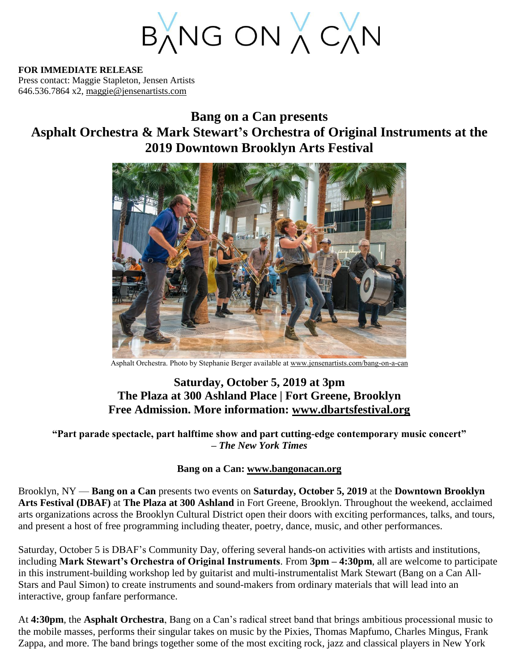BANG ON A CAN

**FOR IMMEDIATE RELEASE** Press contact: Maggie Stapleton, Jensen Artists 646.536.7864 x2, [maggie@jensenartists.com](mailto:maggie@jensenartists.com)

# **Bang on a Can presents Asphalt Orchestra & Mark Stewart's Orchestra of Original Instruments at the 2019 Downtown Brooklyn Arts Festival**



Asphalt Orchestra. Photo by Stephanie Berger available at [www.jensenartists.com/bang-on-a-can](http://www.jensenartists.com/bang-on-a-can)

## **Saturday, October 5, 2019 at 3pm The Plaza at 300 Ashland Place | Fort Greene, Brooklyn Free Admission. More information: [www.dbartsfestival.org](http://www.dbartsfestival.org/)**

**"Part parade spectacle, part halftime show and part cutting-edge contemporary music concert" –** *The New York Times*

### **Bang on a Can: [www.bangonacan.org](http://www.bangonacan.org/)**

Brooklyn, NY — **Bang on a Can** presents two events on **Saturday, October 5, 2019** at the **Downtown Brooklyn Arts Festival (DBAF)** at **The Plaza at 300 Ashland** in Fort Greene, Brooklyn. Throughout the weekend, acclaimed arts organizations across the Brooklyn Cultural District open their doors with exciting performances, talks, and tours, and present a host of free programming including theater, poetry, dance, music, and other performances.

Saturday, October 5 is DBAF's Community Day, offering several hands-on activities with artists and institutions, including **Mark Stewart's Orchestra of Original Instruments**. From **3pm – 4:30pm**, all are welcome to participate in this instrument-building workshop led by guitarist and multi-instrumentalist Mark Stewart (Bang on a Can All-Stars and Paul Simon) to create instruments and sound-makers from ordinary materials that will lead into an interactive, group fanfare performance.

At **4:30pm**, the **Asphalt Orchestra**, Bang on a Can's radical street band that brings ambitious processional music to the mobile masses, performs their singular takes on music by the Pixies, Thomas Mapfumo, Charles Mingus, Frank Zappa, and more. The band brings together some of the most exciting rock, jazz and classical players in New York